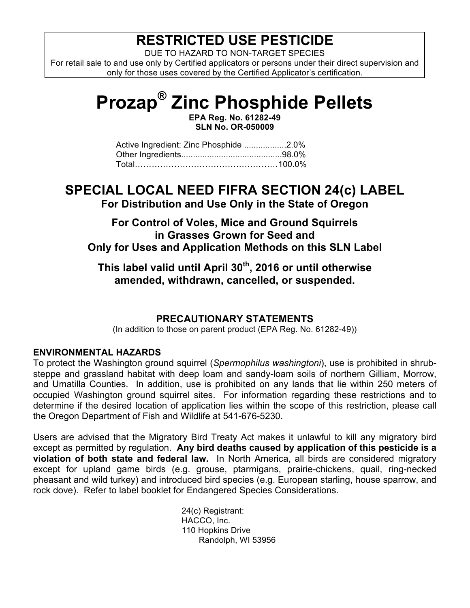## **RESTRICTED USE PESTICIDE**

DUE TO HAZARD TO NON-TARGET SPECIES

For retail sale to and use only by Certified applicators or persons under their direct supervision and only for those uses covered by the Certified Applicator's certification.

# **Prozap® Zinc Phosphide Pellets**

**EPA Reg. No. 61282-49 SLN No. OR-050009**

| Active Ingredient: Zinc Phosphide 2.0% |  |
|----------------------------------------|--|
|                                        |  |
|                                        |  |

## **SPECIAL LOCAL NEED FIFRA SECTION 24(c) LABEL**

**For Distribution and Use Only in the State of Oregon**

### **For Control of Voles, Mice and Ground Squirrels in Grasses Grown for Seed and Only for Uses and Application Methods on this SLN Label**

**This label valid until April 30th, 2016 or until otherwise amended, withdrawn, cancelled, or suspended.**

#### **PRECAUTIONARY STATEMENTS**

(In addition to those on parent product (EPA Reg. No. 61282-49))

#### **ENVIRONMENTAL HAZARDS**

To protect the Washington ground squirrel (*Spermophilus washingtoni*), use is prohibited in shrubsteppe and grassland habitat with deep loam and sandy-loam soils of northern Gilliam, Morrow, and Umatilla Counties. In addition, use is prohibited on any lands that lie within 250 meters of occupied Washington ground squirrel sites. For information regarding these restrictions and to determine if the desired location of application lies within the scope of this restriction, please call the Oregon Department of Fish and Wildlife at 541-676-5230.

Users are advised that the Migratory Bird Treaty Act makes it unlawful to kill any migratory bird except as permitted by regulation. **Any bird deaths caused by application of this pesticide is a violation of both state and federal law.** In North America, all birds are considered migratory except for upland game birds (e.g. grouse, ptarmigans, prairie-chickens, quail, ring-necked pheasant and wild turkey) and introduced bird species (e.g. European starling, house sparrow, and rock dove). Refer to label booklet for Endangered Species Considerations.

> 24(c) Registrant: HACCO, Inc. 110 Hopkins Drive Randolph, WI 53956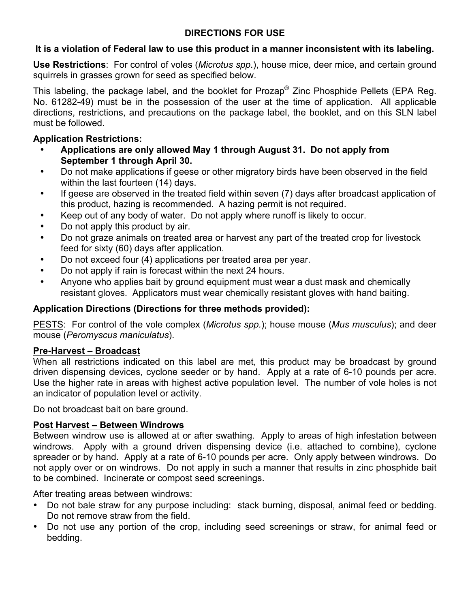#### **DIRECTIONS FOR USE**

#### **It is a violation of Federal law to use this product in a manner inconsistent with its labeling.**

**Use Restrictions**: For control of voles (*Microtus spp*.), house mice, deer mice, and certain ground squirrels in grasses grown for seed as specified below.

This labeling, the package label, and the booklet for Prozap<sup>®</sup> Zinc Phosphide Pellets (EPA Reg. No. 61282-49) must be in the possession of the user at the time of application. All applicable directions, restrictions, and precautions on the package label, the booklet, and on this SLN label must be followed.

#### **Application Restrictions:**

- **Applications are only allowed May 1 through August 31. Do not apply from September 1 through April 30.**
- Do not make applications if geese or other migratory birds have been observed in the field within the last fourteen (14) days.
- If geese are observed in the treated field within seven (7) days after broadcast application of this product, hazing is recommended. A hazing permit is not required.
- Keep out of any body of water. Do not apply where runoff is likely to occur.
- Do not apply this product by air.
- Do not graze animals on treated area or harvest any part of the treated crop for livestock feed for sixty (60) days after application.
- Do not exceed four (4) applications per treated area per year.
- Do not apply if rain is forecast within the next 24 hours.
- Anyone who applies bait by ground equipment must wear a dust mask and chemically resistant gloves. Applicators must wear chemically resistant gloves with hand baiting.

#### **Application Directions (Directions for three methods provided):**

PESTS:For control of the vole complex (*Microtus spp.*); house mouse (*Mus musculus*); and deer mouse (*Peromyscus maniculatus*).

#### **Pre-Harvest – Broadcast**

When all restrictions indicated on this label are met, this product may be broadcast by ground driven dispensing devices, cyclone seeder or by hand. Apply at a rate of 6-10 pounds per acre. Use the higher rate in areas with highest active population level. The number of vole holes is not an indicator of population level or activity.

Do not broadcast bait on bare ground.

#### **Post Harvest – Between Windrows**

Between windrow use is allowed at or after swathing. Apply to areas of high infestation between windrows. Apply with a ground driven dispensing device (i.e. attached to combine), cyclone spreader or by hand. Apply at a rate of 6-10 pounds per acre. Only apply between windrows. Do not apply over or on windrows. Do not apply in such a manner that results in zinc phosphide bait to be combined. Incinerate or compost seed screenings.

After treating areas between windrows:

- Do not bale straw for any purpose including: stack burning, disposal, animal feed or bedding. Do not remove straw from the field.
- Do not use any portion of the crop, including seed screenings or straw, for animal feed or bedding.